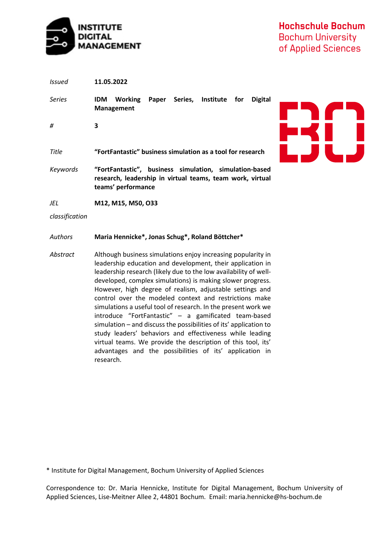

| Issued   | 11.05.2022                                                                                                                                |  |  |
|----------|-------------------------------------------------------------------------------------------------------------------------------------------|--|--|
| Series   | Institute<br><b>Working</b><br>Series,<br><b>Digital</b><br>Paper<br><b>IDM</b><br>for<br>Management                                      |  |  |
| #        | 3                                                                                                                                         |  |  |
| Title    | "FortFantastic" business simulation as a tool for research                                                                                |  |  |
| Keywords | "FortFantastic", business simulation, simulation-based<br>research, leadership in virtual teams, team work, virtual<br>teams' performance |  |  |
| JEL      | M12, M15, M50, O33                                                                                                                        |  |  |

*classification*

### *Authors* **Maria Hennicke\*, Jonas Schug\*, Roland Böttcher\***

*Abstract* Although business simulations enjoy increasing popularity in leadership education and development, their application in leadership research (likely due to the low availability of welldeveloped, complex simulations) is making slower progress. However, high degree of realism, adjustable settings and control over the modeled context and restrictions make simulations a useful tool of research. In the present work we introduce "FortFantastic" – a gamificated team-based simulation – and discuss the possibilities of its' application to study leaders' behaviors and effectiveness while leading virtual teams. We provide the description of this tool, its' advantages and the possibilities of its' application in research.

\* Institute for Digital Management, Bochum University of Applied Sciences

Correspondence to: Dr. Maria Hennicke, Institute for Digital Management, Bochum University of Applied Sciences, Lise-Meitner Allee 2, 44801 Bochum. Email: [maria.hennicke@hs-bochum.de](mailto:maria.hennicke@hs-bochum.de)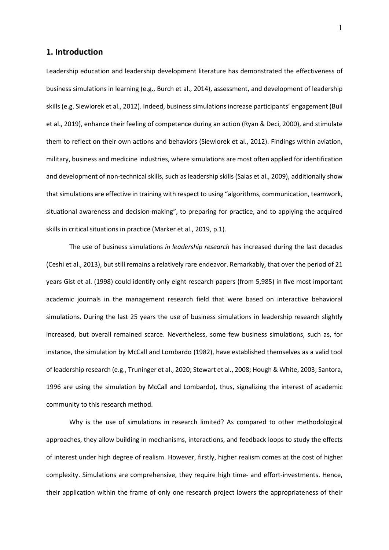### **1. Introduction**

Leadership education and leadership development literature has demonstrated the effectiveness of business simulations in learning (e.g., Burch et al., 2014), assessment, and development of leadership skills (e.g. Siewiorek et al., 2012). Indeed, business simulations increase participants' engagement (Buil et al., 2019), enhance their feeling of competence during an action (Ryan & Deci, 2000), and stimulate them to reflect on their own actions and behaviors (Siewiorek et al., 2012). Findings within aviation, military, business and medicine industries, where simulations are most often applied for identification and development of non-technical skills, such as leadership skills (Salas et al., 2009), additionally show that simulations are effective in training with respect to using "algorithms, communication, teamwork, situational awareness and decision-making", to preparing for practice, and to applying the acquired skills in critical situations in practice (Marker et al., 2019, p.1).

The use of business simulations *in leadership research* has increased during the last decades (Ceshi et al., 2013), but still remains a relatively rare endeavor. Remarkably, that over the period of 21 years Gist et al. (1998) could identify only eight research papers (from 5,985) in five most important academic journals in the management research field that were based on interactive behavioral simulations. During the last 25 years the use of business simulations in leadership research slightly increased, but overall remained scarce. Nevertheless, some few business simulations, such as, for instance, the simulation by McCall and Lombardo (1982), have established themselves as a valid tool of leadership research (e.g., Truninger et al., 2020; Stewart et al., 2008; Hough & White, 2003; Santora, 1996 are using the simulation by McCall and Lombardo), thus, signalizing the interest of academic community to this research method.

Why is the use of simulations in research limited? As compared to other methodological approaches, they allow building in mechanisms, interactions, and feedback loops to study the effects of interest under high degree of realism. However, firstly, higher realism comes at the cost of higher complexity. Simulations are comprehensive, they require high time- and effort-investments. Hence, their application within the frame of only one research project lowers the appropriateness of their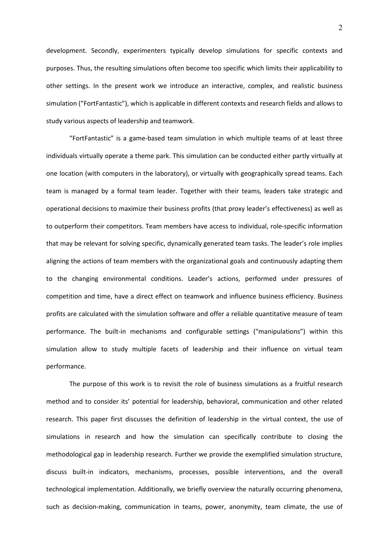development. Secondly, experimenters typically develop simulations for specific contexts and purposes. Thus, the resulting simulations often become too specific which limits their applicability to other settings. In the present work we introduce an interactive, complex, and realistic business simulation ("FortFantastic"), which is applicable in different contexts and research fields and allows to study various aspects of leadership and teamwork.

"FortFantastic" is a game-based team simulation in which multiple teams of at least three individuals virtually operate a theme park. This simulation can be conducted either partly virtually at one location (with computers in the laboratory), or virtually with geographically spread teams. Each team is managed by a formal team leader. Together with their teams, leaders take strategic and operational decisions to maximize their business profits (that proxy leader's effectiveness) as well as to outperform their competitors. Team members have access to individual, role-specific information that may be relevant for solving specific, dynamically generated team tasks. The leader's role implies aligning the actions of team members with the organizational goals and continuously adapting them to the changing environmental conditions. Leader's actions, performed under pressures of competition and time, have a direct effect on teamwork and influence business efficiency. Business profits are calculated with the simulation software and offer a reliable quantitative measure of team performance. The built-in mechanisms and configurable settings ("manipulations") within this simulation allow to study multiple facets of leadership and their influence on virtual team performance.

The purpose of this work is to revisit the role of business simulations as a fruitful research method and to consider its' potential for leadership, behavioral, communication and other related research. This paper first discusses the definition of leadership in the virtual context, the use of simulations in research and how the simulation can specifically contribute to closing the methodological gap in leadership research. Further we provide the exemplified simulation structure, discuss built-in indicators, mechanisms, processes, possible interventions, and the overall technological implementation. Additionally, we briefly overview the naturally occurring phenomena, such as decision-making, communication in teams, power, anonymity, team climate, the use of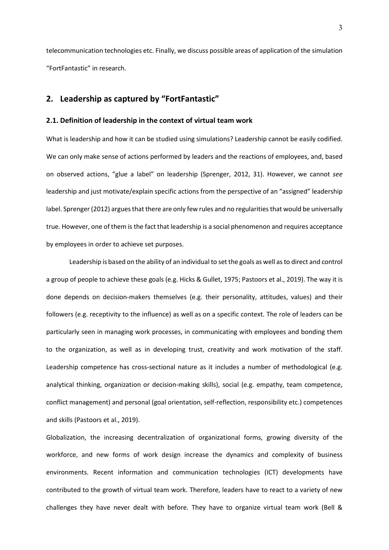telecommunication technologies etc. Finally, we discuss possible areas of application of the simulation "FortFantastic" in research.

## **2. Leadership as captured by "FortFantastic"**

#### **2.1. Definition of leadership in the context of virtual team work**

What is leadership and how it can be studied using simulations? Leadership cannot be easily codified. We can only make sense of actions performed by leaders and the reactions of employees, and, based on observed actions, "glue a label" on leadership (Sprenger, 2012, 31). However, we cannot *see* leadership and just motivate/explain specific actions from the perspective of an "assigned" leadership label. Sprenger (2012) argues that there are only few rules and no regularities that would be universally true. However, one of them is the fact that leadership is a social phenomenon and requires acceptance by employees in order to achieve set purposes.

Leadership is based on the ability of an individual to set the goals as well as to direct and control a group of people to achieve these goals (e.g. Hicks & Gullet, 1975; Pastoors et al., 2019). The way it is done depends on decision-makers themselves (e.g. their personality, attitudes, values) and their followers (e.g. receptivity to the influence) as well as on a specific context. The role of leaders can be particularly seen in managing work processes, in communicating with employees and bonding them to the organization, as well as in developing trust, creativity and work motivation of the staff. Leadership competence has cross-sectional nature as it includes a number of methodological (e.g. analytical thinking, organization or decision-making skills), social (e.g. empathy, team competence, conflict management) and personal (goal orientation, self-reflection, responsibility etc.) competences and skills (Pastoors et al., 2019).

Globalization, the increasing decentralization of organizational forms, growing diversity of the workforce, and new forms of work design increase the dynamics and complexity of business environments. Recent information and communication technologies (ICT) developments have contributed to the growth of virtual team work. Therefore, leaders have to react to a variety of new challenges they have never dealt with before. They have to organize virtual team work (Bell &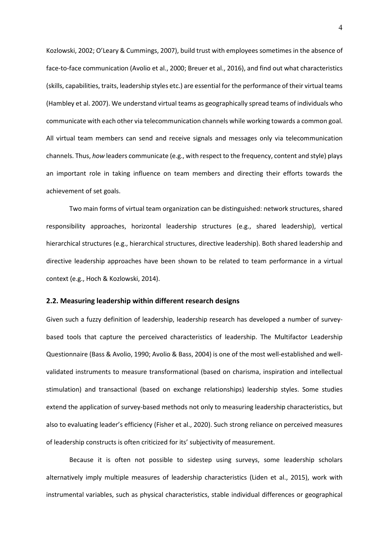Kozlowski, 2002; O'Leary & Cummings, 2007), build trust with employees sometimes in the absence of face-to-face communication (Avolio et al., 2000; Breuer et al., 2016), and find out what characteristics (skills, capabilities, traits, leadership styles etc.) are essential for the performance of their virtual teams (Hambley et al. 2007). We understand virtual teams as geographically spread teams of individuals who communicate with each other via telecommunication channels while working towards a common goal. All virtual team members can send and receive signals and messages only via telecommunication channels. Thus, *how* leaders communicate (e.g., with respect to the frequency, content and style) plays an important role in taking influence on team members and directing their efforts towards the achievement of set goals.

Two main forms of virtual team organization can be distinguished: network structures, shared responsibility approaches, horizontal leadership structures (e.g., shared leadership), vertical hierarchical structures (e.g., hierarchical structures, directive leadership). Both shared leadership and directive leadership approaches have been shown to be related to team performance in a virtual context (e.g., Hoch & Kozlowski, 2014).

#### **2.2. Measuring leadership within different research designs**

Given such a fuzzy definition of leadership, leadership research has developed a number of surveybased tools that capture the perceived characteristics of leadership. The Multifactor Leadership Questionnaire (Bass & Avolio, 1990; Avolio & Bass, 2004) is one of the most well-established and wellvalidated instruments to measure transformational (based on charisma, inspiration and intellectual stimulation) and transactional (based on exchange relationships) leadership styles. Some studies extend the application of survey-based methods not only to measuring leadership characteristics, but also to evaluating leader's efficiency (Fisher et al., 2020). Such strong reliance on perceived measures of leadership constructs is often criticized for its' subjectivity of measurement.

Because it is often not possible to sidestep using surveys, some leadership scholars alternatively imply multiple measures of leadership characteristics (Liden et al., 2015), work with instrumental variables, such as physical characteristics, stable individual differences or geographical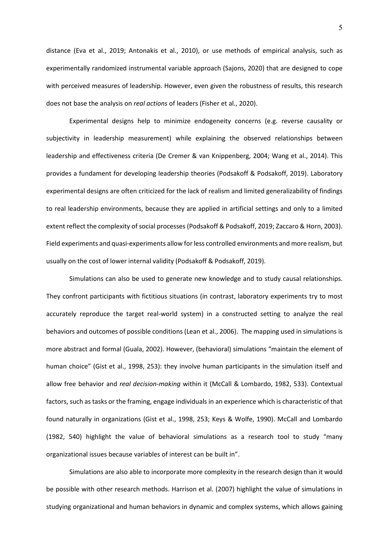distance (Eva et al., 2019; Antonakis et al., 2010), or use methods of empirical analysis, such as experimentally randomized instrumental variable approach (Sajons, 2020) that are designed to cope with perceived measures of leadership. However, even given the robustness of results, this research does not base the analysis on *real actions* of leaders (Fisher et al., 2020).

Experimental designs help to minimize endogeneity concerns (e.g. reverse causality or subjectivity in leadership measurement) while explaining the observed relationships between leadership and effectiveness criteria (De Cremer & van Knippenberg, 2004; Wang et al., 2014). This provides a fundament for developing leadership theories (Podsakoff & Podsakoff, 2019). Laboratory experimental designs are often criticized for the lack of realism and limited generalizability of findings to real leadership environments, because they are applied in artificial settings and only to a limited extent reflect the complexity of social processes (Podsakoff & Podsakoff, 2019; Zaccaro & Horn, 2003). Field experiments and quasi-experiments allow for less controlled environments and more realism, but usually on the cost of lower internal validity (Podsakoff & Podsakoff, 2019).

Simulations can also be used to generate new knowledge and to study causal relationships. They confront participants with fictitious situations (in contrast, laboratory experiments try to most accurately reproduce the target real-world system) in a constructed setting to analyze the real behaviors and outcomes of possible conditions (Lean et al., 2006). The mapping used in simulations is more abstract and formal (Guala, 2002). However, (behavioral) simulations "maintain the element of human choice" (Gist et al., 1998, 253): they involve human participants in the simulation itself and allow free behavior and *real decision-making* within it (McCall & Lombardo, 1982, 533). Contextual factors, such as tasks or the framing, engage individuals in an experience which is characteristic of that found naturally in organizations (Gist et al., 1998, 253; Keys & Wolfe, 1990). McCall and Lombardo (1982, 540) highlight the value of behavioral simulations as a research tool to study "many organizational issues because variables of interest can be built in".

Simulations are also able to incorporate more complexity in the research design than it would be possible with other research methods. Harrison et al. (2007) highlight the value of simulations in studying organizational and human behaviors in dynamic and complex systems, which allows gaining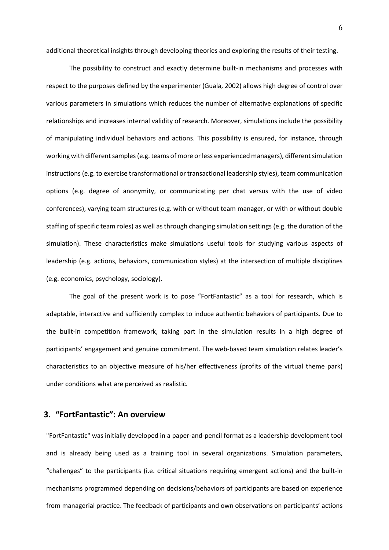additional theoretical insights through developing theories and exploring the results of their testing.

The possibility to construct and exactly determine built-in mechanisms and processes with respect to the purposes defined by the experimenter (Guala, 2002) allows high degree of control over various parameters in simulations which reduces the number of alternative explanations of specific relationships and increases internal validity of research. Moreover, simulations include the possibility of manipulating individual behaviors and actions. This possibility is ensured, for instance, through working with different samples (e.g. teams of more or less experienced managers), different simulation instructions (e.g. to exercise transformational or transactional leadership styles), team communication options (e.g. degree of anonymity, or communicating per chat versus with the use of video conferences), varying team structures (e.g. with or without team manager, or with or without double staffing of specific team roles) as well as through changing simulation settings (e.g. the duration of the simulation). These characteristics make simulations useful tools for studying various aspects of leadership (e.g. actions, behaviors, communication styles) at the intersection of multiple disciplines (e.g. economics, psychology, sociology).

The goal of the present work is to pose "FortFantastic" as a tool for research, which is adaptable, interactive and sufficiently complex to induce authentic behaviors of participants. Due to the built-in competition framework, taking part in the simulation results in a high degree of participants' engagement and genuine commitment. The web-based team simulation relates leader's characteristics to an objective measure of his/her effectiveness (profits of the virtual theme park) under conditions what are perceived as realistic.

## **3. "FortFantastic": An overview**

"FortFantastic" was initially developed in a paper-and-pencil format as a leadership development tool and is already being used as a training tool in several organizations. Simulation parameters, "challenges" to the participants (i.e. critical situations requiring emergent actions) and the built-in mechanisms programmed depending on decisions/behaviors of participants are based on experience from managerial practice. The feedback of participants and own observations on participants' actions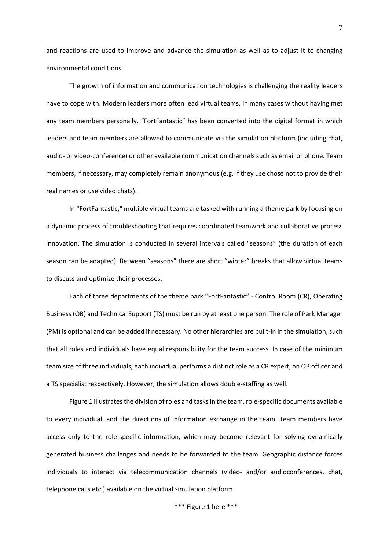and reactions are used to improve and advance the simulation as well as to adjust it to changing environmental conditions.

The growth of information and communication technologies is challenging the reality leaders have to cope with. Modern leaders more often lead virtual teams, in many cases without having met any team members personally. "FortFantastic" has been converted into the digital format in which leaders and team members are allowed to communicate via the simulation platform (including chat, audio- or video-conference) or other available communication channels such as email or phone. Team members, if necessary, may completely remain anonymous (e.g. if they use chose not to provide their real names or use video chats).

In "FortFantastic," multiple virtual teams are tasked with running a theme park by focusing on a dynamic process of troubleshooting that requires coordinated teamwork and collaborative process innovation. The simulation is conducted in several intervals called "seasons" (the duration of each season can be adapted). Between "seasons" there are short "winter" breaks that allow virtual teams to discuss and optimize their processes.

Each of three departments of the theme park "FortFantastic" - Control Room (CR), Operating Business (OB) and Technical Support (TS) must be run by at least one person. The role of Park Manager (PM) is optional and can be added if necessary. No other hierarchies are built-in in the simulation, such that all roles and individuals have equal responsibility for the team success. In case of the minimum team size of three individuals, each individual performs a distinct role as a CR expert, an OB officer and a TS specialist respectively. However, the simulation allows double-staffing as well.

Figure 1 illustrates the division of roles and tasks in the team, role-specific documents available to every individual, and the directions of information exchange in the team. Team members have access only to the role-specific information, which may become relevant for solving dynamically generated business challenges and needs to be forwarded to the team. Geographic distance forces individuals to interact via telecommunication channels (video- and/or audioconferences, chat, telephone calls etc.) available on the virtual simulation platform.

\*\*\* Figure 1 here \*\*\*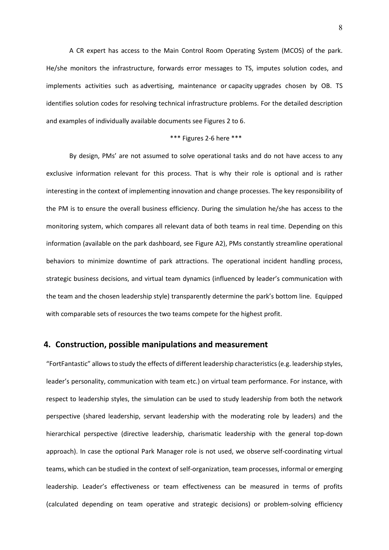A CR expert has access to the Main Control Room Operating System (MCOS) of the park. He/she monitors the infrastructure, forwards error messages to TS, imputes solution codes, and implements activities such as advertising, maintenance or capacity upgrades chosen by OB. TS identifies solution codes for resolving technical infrastructure problems. For the detailed description and examples of individually available documents see Figures 2 to 6.

#### \*\*\* Figures 2-6 here \*\*\*

By design, PMs' are not assumed to solve operational tasks and do not have access to any exclusive information relevant for this process. That is why their role is optional and is rather interesting in the context of implementing innovation and change processes. The key responsibility of the PM is to ensure the overall business efficiency. During the simulation he/she has access to the monitoring system, which compares all relevant data of both teams in real time. Depending on this information (available on the park dashboard, see Figure A2), PMs constantly streamline operational behaviors to minimize downtime of park attractions. The operational incident handling process, strategic business decisions, and virtual team dynamics (influenced by leader's communication with the team and the chosen leadership style) transparently determine the park's bottom line. Equipped with comparable sets of resources the two teams compete for the highest profit.

### **4. Construction, possible manipulations and measurement**

"FortFantastic" allows to study the effects of different leadership characteristics (e.g. leadership styles, leader's personality, communication with team etc.) on virtual team performance. For instance, with respect to leadership styles, the simulation can be used to study leadership from both the network perspective (shared leadership, servant leadership with the moderating role by leaders) and the hierarchical perspective (directive leadership, charismatic leadership with the general top-down approach). In case the optional Park Manager role is not used, we observe self-coordinating virtual teams, which can be studied in the context of self-organization, team processes, informal or emerging leadership. Leader's effectiveness or team effectiveness can be measured in terms of profits (calculated depending on team operative and strategic decisions) or problem-solving efficiency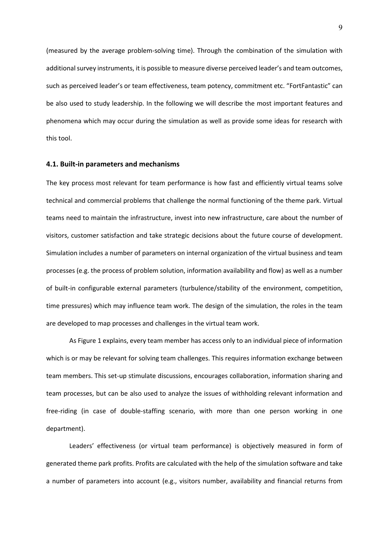(measured by the average problem-solving time). Through the combination of the simulation with additional survey instruments, it is possible to measure diverse perceived leader's and team outcomes, such as perceived leader's or team effectiveness, team potency, commitment etc. "FortFantastic" can be also used to study leadership. In the following we will describe the most important features and phenomena which may occur during the simulation as well as provide some ideas for research with this tool.

#### **4.1. Built-in parameters and mechanisms**

The key process most relevant for team performance is how fast and efficiently virtual teams solve technical and commercial problems that challenge the normal functioning of the theme park. Virtual teams need to maintain the infrastructure, invest into new infrastructure, care about the number of visitors, customer satisfaction and take strategic decisions about the future course of development. Simulation includes a number of parameters on internal organization of the virtual business and team processes (e.g. the process of problem solution, information availability and flow) as well as a number of built-in configurable external parameters (turbulence/stability of the environment, competition, time pressures) which may influence team work. The design of the simulation, the roles in the team are developed to map processes and challenges in the virtual team work.

As Figure 1 explains, every team member has access only to an individual piece of information which is or may be relevant for solving team challenges. This requires information exchange between team members. This set-up stimulate discussions, encourages collaboration, information sharing and team processes, but can be also used to analyze the issues of withholding relevant information and free-riding (in case of double-staffing scenario, with more than one person working in one department).

Leaders' effectiveness (or virtual team performance) is objectively measured in form of generated theme park profits. Profits are calculated with the help of the simulation software and take a number of parameters into account (e.g., visitors number, availability and financial returns from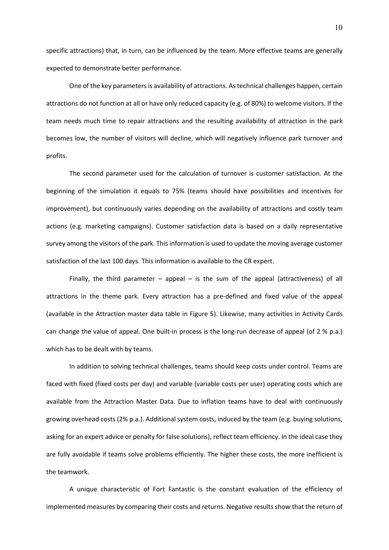specific attractions) that, in turn, can be influenced by the team. More effective teams are generally expected to demonstrate better performance.

One of the key parameters is availability of attractions. As technical challenges happen, certain attractions do not function at all or have only reduced capacity (e.g. of 80%) to welcome visitors. If the team needs much time to repair attractions and the resulting availability of attraction in the park becomes low, the number of visitors will decline, which will negatively influence park turnover and profits.

The second parameter used for the calculation of turnover is customer satisfaction. At the beginning of the simulation it equals to 75% (teams should have possibilities and incentives for improvement), but continuously varies depending on the availability of attractions and costly team actions (e.g. marketing campaigns). Customer satisfaction data is based on a daily representative survey among the visitors of the park. This information is used to update the moving average customer satisfaction of the last 100 days. This information is available to the CR expert.

Finally, the third parameter – appeal – is the sum of the appeal (attractiveness) of all attractions in the theme park. Every attraction has a pre-defined and fixed value of the appeal (available in the Attraction master data table in Figure 5). Likewise, many activities in Activity Cards can change the value of appeal. One built-in process is the long-run decrease of appeal (of 2 % p.a.) which has to be dealt with by teams.

In addition to solving technical challenges, teams should keep costs under control. Teams are faced with fixed (fixed costs per day) and variable (variable costs per user) operating costs which are available from the Attraction Master Data. Due to inflation teams have to deal with continuously growing overhead costs (2% p.a.). Additional system costs, induced by the team (e.g. buying solutions, asking for an expert advice or penalty for false solutions), reflect team efficiency. In the ideal case they are fully avoidable if teams solve problems efficiently. The higher these costs, the more inefficient is the teamwork.

A unique characteristic of Fort Fantastic is the constant evaluation of the efficiency of implemented measures by comparing their costs and returns. Negative results show that the return of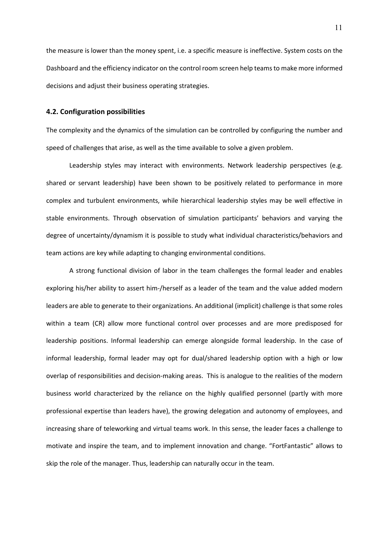the measure is lower than the money spent, i.e. a specific measure is ineffective. System costs on the Dashboard and the efficiency indicator on the control room screen help teams to make more informed decisions and adjust their business operating strategies.

### **4.2. Configuration possibilities**

The complexity and the dynamics of the simulation can be controlled by configuring the number and speed of challenges that arise, as well as the time available to solve a given problem.

Leadership styles may interact with environments. Network leadership perspectives (e.g. shared or servant leadership) have been shown to be positively related to performance in more complex and turbulent environments, while hierarchical leadership styles may be well effective in stable environments. Through observation of simulation participants' behaviors and varying the degree of uncertainty/dynamism it is possible to study what individual characteristics/behaviors and team actions are key while adapting to changing environmental conditions.

A strong functional division of labor in the team challenges the formal leader and enables exploring his/her ability to assert him-/herself as a leader of the team and the value added modern leaders are able to generate to their organizations. An additional (implicit) challenge is that some roles within a team (CR) allow more functional control over processes and are more predisposed for leadership positions. Informal leadership can emerge alongside formal leadership. In the case of informal leadership, formal leader may opt for dual/shared leadership option with a high or low overlap of responsibilities and decision-making areas. This is analogue to the realities of the modern business world characterized by the reliance on the highly qualified personnel (partly with more professional expertise than leaders have), the growing delegation and autonomy of employees, and increasing share of teleworking and virtual teams work. In this sense, the leader faces a challenge to motivate and inspire the team, and to implement innovation and change. "FortFantastic" allows to skip the role of the manager. Thus, leadership can naturally occur in the team.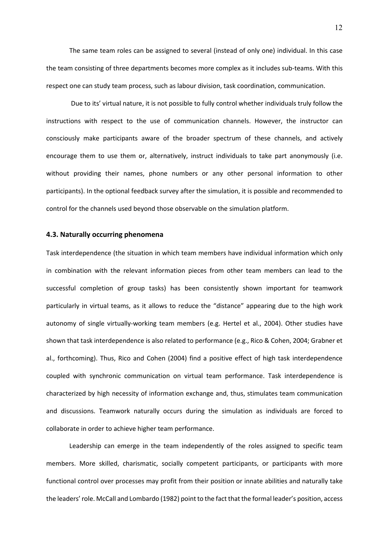The same team roles can be assigned to several (instead of only one) individual. In this case the team consisting of three departments becomes more complex as it includes sub-teams. With this respect one can study team process, such as labour division, task coordination, communication.

Due to its' virtual nature, it is not possible to fully control whether individuals truly follow the instructions with respect to the use of communication channels. However, the instructor can consciously make participants aware of the broader spectrum of these channels, and actively encourage them to use them or, alternatively, instruct individuals to take part anonymously (i.e. without providing their names, phone numbers or any other personal information to other participants). In the optional feedback survey after the simulation, it is possible and recommended to control for the channels used beyond those observable on the simulation platform.

#### **4.3. Naturally occurring phenomena**

Task interdependence (the situation in which team members have individual information which only in combination with the relevant information pieces from other team members can lead to the successful completion of group tasks) has been consistently shown important for teamwork particularly in virtual teams, as it allows to reduce the "distance" appearing due to the high work autonomy of single virtually-working team members (e.g. Hertel et al., 2004). Other studies have shown that task interdependence is also related to performance (e.g., Rico & Cohen, 2004; Grabner et al., forthcoming). Thus, Rico and Cohen (2004) find a positive effect of high task interdependence coupled with synchronic communication on virtual team performance. Task interdependence is characterized by high necessity of information exchange and, thus, stimulates team communication and discussions. Teamwork naturally occurs during the simulation as individuals are forced to collaborate in order to achieve higher team performance.

Leadership can emerge in the team independently of the roles assigned to specific team members. More skilled, charismatic, socially competent participants, or participants with more functional control over processes may profit from their position or innate abilities and naturally take the leaders' role. McCall and Lombardo (1982) point to the fact that the formal leader's position, access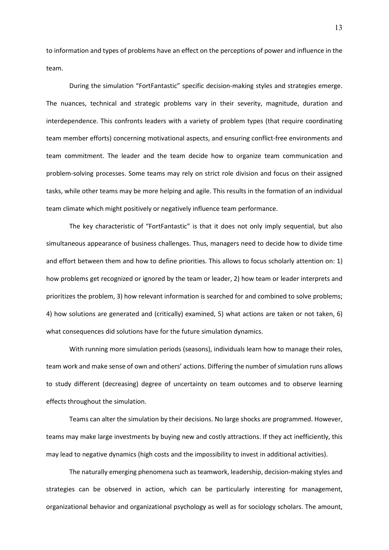to information and types of problems have an effect on the perceptions of power and influence in the team.

During the simulation "FortFantastic" specific decision-making styles and strategies emerge. The nuances, technical and strategic problems vary in their severity, magnitude, duration and interdependence. This confronts leaders with a variety of problem types (that require coordinating team member efforts) concerning motivational aspects, and ensuring conflict-free environments and team commitment. The leader and the team decide how to organize team communication and problem-solving processes. Some teams may rely on strict role division and focus on their assigned tasks, while other teams may be more helping and agile. This results in the formation of an individual team climate which might positively or negatively influence team performance.

The key characteristic of "FortFantastic" is that it does not only imply sequential, but also simultaneous appearance of business challenges. Thus, managers need to decide how to divide time and effort between them and how to define priorities. This allows to focus scholarly attention on: 1) how problems get recognized or ignored by the team or leader, 2) how team or leader interprets and prioritizes the problem, 3) how relevant information is searched for and combined to solve problems; 4) how solutions are generated and (critically) examined, 5) what actions are taken or not taken, 6) what consequences did solutions have for the future simulation dynamics.

With running more simulation periods (seasons), individuals learn how to manage their roles, team work and make sense of own and others' actions. Differing the number of simulation runs allows to study different (decreasing) degree of uncertainty on team outcomes and to observe learning effects throughout the simulation.

Teams can alter the simulation by their decisions. No large shocks are programmed. However, teams may make large investments by buying new and costly attractions. If they act inefficiently, this may lead to negative dynamics (high costs and the impossibility to invest in additional activities).

The naturally emerging phenomena such as teamwork, leadership, decision-making styles and strategies can be observed in action, which can be particularly interesting for management, organizational behavior and organizational psychology as well as for sociology scholars. The amount,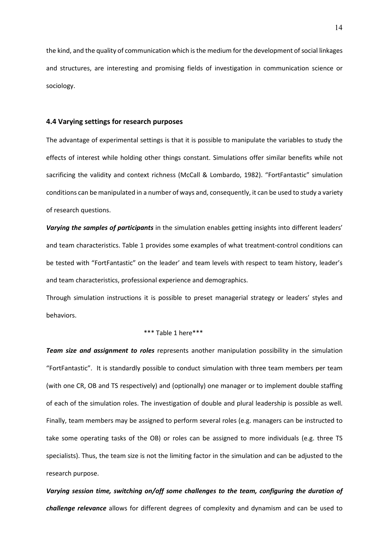the kind, and the quality of communication which is the medium for the development of social linkages and structures, are interesting and promising fields of investigation in communication science or sociology.

#### **4.4 Varying settings for research purposes**

The advantage of experimental settings is that it is possible to manipulate the variables to study the effects of interest while holding other things constant. Simulations offer similar benefits while not sacrificing the validity and context richness (McCall & Lombardo, 1982). "FortFantastic" simulation conditions can be manipulated in a number of ways and, consequently, it can be used to study a variety of research questions.

*Varying the samples of participants* in the simulation enables getting insights into different leaders' and team characteristics. Table 1 provides some examples of what treatment-control conditions can be tested with "FortFantastic" on the leader' and team levels with respect to team history, leader's and team characteristics, professional experience and demographics.

Through simulation instructions it is possible to preset managerial strategy or leaders' styles and behaviors.

#### \*\*\* Table 1 here\*\*\*

*Team size and assignment to roles* represents another manipulation possibility in the simulation "FortFantastic". It is standardly possible to conduct simulation with three team members per team (with one CR, OB and TS respectively) and (optionally) one manager or to implement double staffing of each of the simulation roles. The investigation of double and plural leadership is possible as well. Finally, team members may be assigned to perform several roles (e.g. managers can be instructed to take some operating tasks of the OB) or roles can be assigned to more individuals (e.g. three TS specialists). Thus, the team size is not the limiting factor in the simulation and can be adjusted to the research purpose.

*Varying session time, switching on/off some challenges to the team, configuring the duration of challenge relevance* allows for different degrees of complexity and dynamism and can be used to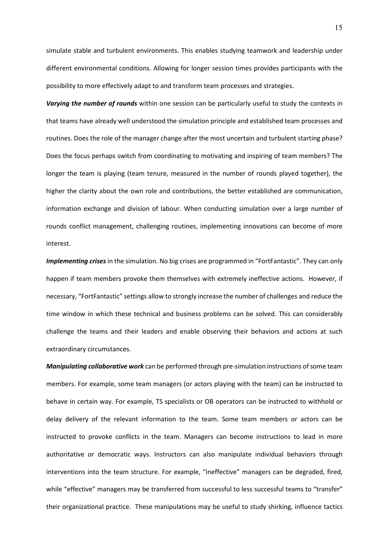simulate stable and turbulent environments. This enables studying teamwork and leadership under different environmental conditions. Allowing for longer session times provides participants with the possibility to more effectively adapt to and transform team processes and strategies.

*Varying the number of rounds* within one session can be particularly useful to study the contexts in that teams have already well understood the simulation principle and established team processes and routines. Does the role of the manager change after the most uncertain and turbulent starting phase? Does the focus perhaps switch from coordinating to motivating and inspiring of team members? The longer the team is playing (team tenure, measured in the number of rounds played together), the higher the clarity about the own role and contributions, the better established are communication, information exchange and division of labour. When conducting simulation over a large number of rounds conflict management, challenging routines, implementing innovations can become of more interest.

*Implementing crises* in the simulation. No big crises are programmed in "FortFantastic". They can only happen if team members provoke them themselves with extremely ineffective actions. However, if necessary, "FortFantastic" settings allow to strongly increase the number of challenges and reduce the time window in which these technical and business problems can be solved. This can considerably challenge the teams and their leaders and enable observing their behaviors and actions at such extraordinary circumstances.

*Manipulating collaborative work* can be performed through pre-simulation instructions of some team members. For example, some team managers (or actors playing with the team) can be instructed to behave in certain way. For example, TS specialists or OB operators can be instructed to withhold or delay delivery of the relevant information to the team. Some team members or actors can be instructed to provoke conflicts in the team. Managers can become instructions to lead in more authoritative or democratic ways. Instructors can also manipulate individual behaviors through interventions into the team structure. For example, "ineffective" managers can be degraded, fired, while "effective" managers may be transferred from successful to less successful teams to "transfer" their organizational practice. These manipulations may be useful to study shirking, influence tactics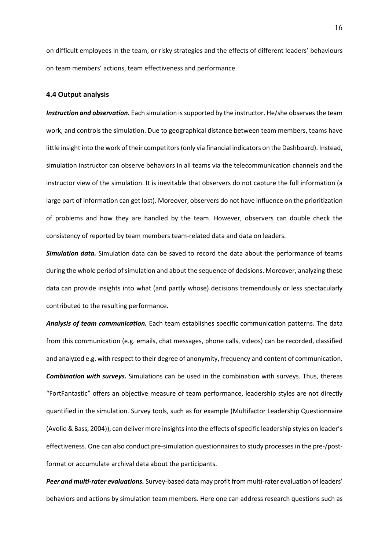on difficult employees in the team, or risky strategies and the effects of different leaders' behaviours on team members' actions, team effectiveness and performance.

#### **4.4 Output analysis**

*Instruction and observation.* Each simulation is supported by the instructor. He/she observes the team work, and controls the simulation. Due to geographical distance between team members, teams have little insight into the work of their competitors (only via financial indicators on the Dashboard). Instead, simulation instructor can observe behaviors in all teams via the telecommunication channels and the instructor view of the simulation. It is inevitable that observers do not capture the full information (a large part of information can get lost). Moreover, observers do not have influence on the prioritization of problems and how they are handled by the team. However, observers can double check the consistency of reported by team members team-related data and data on leaders.

*Simulation data.* Simulation data can be saved to record the data about the performance of teams during the whole period of simulation and about the sequence of decisions. Moreover, analyzing these data can provide insights into what (and partly whose) decisions tremendously or less spectacularly contributed to the resulting performance.

*Analysis of team communication.* Each team establishes specific communication patterns. The data from this communication (e.g. emails, chat messages, phone calls, videos) can be recorded, classified and analyzed e.g. with respect to their degree of anonymity, frequency and content of communication. *Combination with surveys.* Simulations can be used in the combination with surveys. Thus, thereas "FortFantastic" offers an objective measure of team performance, leadership styles are not directly quantified in the simulation. Survey tools, such as for example (Multifactor Leadership Questionnaire (Avolio & Bass, 2004)), can deliver more insights into the effects of specific leadership styles on leader's effectiveness. One can also conduct pre-simulation questionnaires to study processes in the pre-/postformat or accumulate archival data about the participants.

*Peer and multi-rater evaluations.* Survey-based data may profit from multi-rater evaluation of leaders' behaviors and actions by simulation team members. Here one can address research questions such as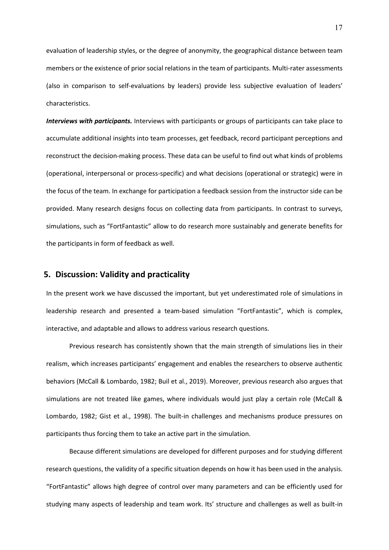evaluation of leadership styles, or the degree of anonymity, the geographical distance between team members or the existence of prior social relations in the team of participants. Multi-rater assessments (also in comparison to self-evaluations by leaders) provide less subjective evaluation of leaders' characteristics.

*Interviews with participants.* Interviews with participants or groups of participants can take place to accumulate additional insights into team processes, get feedback, record participant perceptions and reconstruct the decision-making process. These data can be useful to find out what kinds of problems (operational, interpersonal or process-specific) and what decisions (operational or strategic) were in the focus of the team. In exchange for participation a feedback session from the instructor side can be provided. Many research designs focus on collecting data from participants. In contrast to surveys, simulations, such as "FortFantastic" allow to do research more sustainably and generate benefits for the participants in form of feedback as well.

### **5. Discussion: Validity and practicality**

In the present work we have discussed the important, but yet underestimated role of simulations in leadership research and presented a team-based simulation "FortFantastic", which is complex, interactive, and adaptable and allows to address various research questions.

Previous research has consistently shown that the main strength of simulations lies in their realism, which increases participants' engagement and enables the researchers to observe authentic behaviors (McCall & Lombardo, 1982; Buil et al., 2019). Moreover, previous research also argues that simulations are not treated like games, where individuals would just play a certain role (McCall & Lombardo, 1982; Gist et al., 1998). The built-in challenges and mechanisms produce pressures on participants thus forcing them to take an active part in the simulation.

Because different simulations are developed for different purposes and for studying different research questions, the validity of a specific situation depends on how it has been used in the analysis. "FortFantastic" allows high degree of control over many parameters and can be efficiently used for studying many aspects of leadership and team work. Its' structure and challenges as well as built-in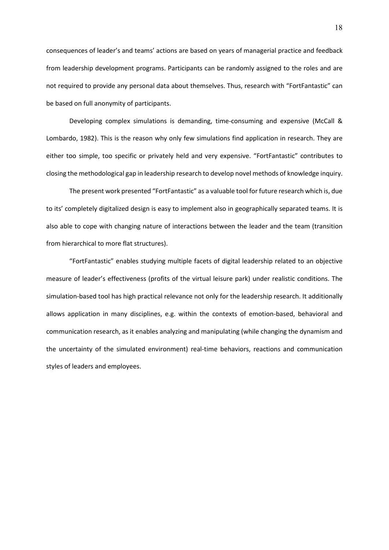consequences of leader's and teams' actions are based on years of managerial practice and feedback from leadership development programs. Participants can be randomly assigned to the roles and are not required to provide any personal data about themselves. Thus, research with "FortFantastic" can be based on full anonymity of participants.

Developing complex simulations is demanding, time-consuming and expensive (McCall & Lombardo, 1982). This is the reason why only few simulations find application in research. They are either too simple, too specific or privately held and very expensive. "FortFantastic" contributes to closing the methodological gap in leadership research to develop novel methods of knowledge inquiry.

The present work presented "FortFantastic" as a valuable tool for future research which is, due to its' completely digitalized design is easy to implement also in geographically separated teams. It is also able to cope with changing nature of interactions between the leader and the team (transition from hierarchical to more flat structures).

"FortFantastic" enables studying multiple facets of digital leadership related to an objective measure of leader's effectiveness (profits of the virtual leisure park) under realistic conditions. The simulation-based tool has high practical relevance not only for the leadership research. It additionally allows application in many disciplines, e.g. within the contexts of emotion-based, behavioral and communication research, as it enables analyzing and manipulating (while changing the dynamism and the uncertainty of the simulated environment) real-time behaviors, reactions and communication styles of leaders and employees.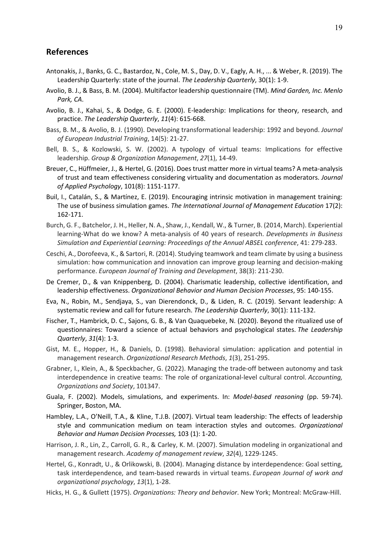## **References**

- Antonakis, J., Banks, G. C., Bastardoz, N., Cole, M. S., Day, D. V., Eagly, A. H., ... & Weber, R. (2019). The Leadership Quarterly: state of the journal. *The Leadership Quarterly*, 30(1): 1-9.
- Avolio, B. J., & Bass, B. M. (2004). Multifactor leadership questionnaire (TM). *Mind Garden, Inc. Menlo Park, CA*.
- Avolio, B. J., Kahai, S., & Dodge, G. E. (2000). E-leadership: Implications for theory, research, and practice. *The Leadership Quarterly*, *11*(4): 615-668.
- Bass, B. M., & Avolio, B. J. (1990). Developing transformational leadership: 1992 and beyond. *Journal of European Industrial Training*, 14(5): 21-27.
- Bell, B. S., & Kozlowski, S. W. (2002). A typology of virtual teams: Implications for effective leadership. *Group & Organization Management*, *27*(1), 14-49.
- Breuer, C., Hüffmeier, J., & Hertel, G. (2016). Does trust matter more in virtual teams? A meta-analysis of trust and team effectiveness considering virtuality and documentation as moderators. *Journal of Applied Psychology*, 101(8): 1151-1177.
- Buil, I., Catalán, S., & Martínez, E. (2019). Encouraging intrinsic motivation in management training: The use of business simulation games. *The International Journal of Management Education* 17(2): 162-171.
- Burch, G. F., Batchelor, J. H., Heller, N. A., Shaw, J., Kendall, W., & Turner, B. (2014, March). Experiential learning-What do we know? A meta-analysis of 40 years of research. *Developments in Business Simulation and Experiential Learning: Proceedings of the Annual ABSEL conference*, 41: 279-283.
- Ceschi, A., Dorofeeva, K., & Sartori, R. (2014). Studying teamwork and team climate by using a business simulation: how communication and innovation can improve group learning and decision-making performance. *European Journal of Training and Development*, 38(3): 211-230.
- De Cremer, D., & van Knippenberg, D. (2004). Charismatic leadership, collective identification, and leadership effectiveness. *Organizational Behavior and Human Decision Processes*, 95: 140-155.
- Eva, N., Robin, M., Sendjaya, S., van Dierendonck, D., & Liden, R. C. (2019). Servant leadership: A systematic review and call for future research. *The Leadership Quarterly*, 30(1): 111-132.
- Fischer, T., Hambrick, D. C., Sajons, G. B., & Van Quaquebeke, N. (2020). Beyond the ritualized use of questionnaires: Toward a science of actual behaviors and psychological states. *The Leadership Quarterly*, *31*(4): 1-3.
- Gist, M. E., Hopper, H., & Daniels, D. (1998). Behavioral simulation: application and potential in management research. *Organizational Research Methods*, *1*(3), 251-295.
- Grabner, I., Klein, A., & Speckbacher, G. (2022). Managing the trade-off between autonomy and task interdependence in creative teams: The role of organizational-level cultural control. *Accounting, Organizations and Society*, 101347.
- Guala, F. (2002). Models, simulations, and experiments. In: *Model-based reasoning* (pp. 59-74). Springer, Boston, MA.
- Hambley, L.A., O'Neill, T.A., & Kline, T.J.B. (2007). Virtual team leadership: The effects of leadership style and communication medium on team interaction styles and outcomes. *Organizational Behavior and Human Decision Processes,* 103 (1): 1-20.
- Harrison, J. R., Lin, Z., Carroll, G. R., & Carley, K. M. (2007). Simulation modeling in organizational and management research. *Academy of management review*, *32*(4), 1229-1245.
- Hertel, G., Konradt, U., & Orlikowski, B. (2004). Managing distance by interdependence: Goal setting, task interdependence, and team-based rewards in virtual teams. *European Journal of work and organizational psychology*, *13*(1), 1-28.
- Hicks, H. G., & Gullett (1975). *Organizations: Theory and behavior*. New York; Montreal: McGraw-Hill.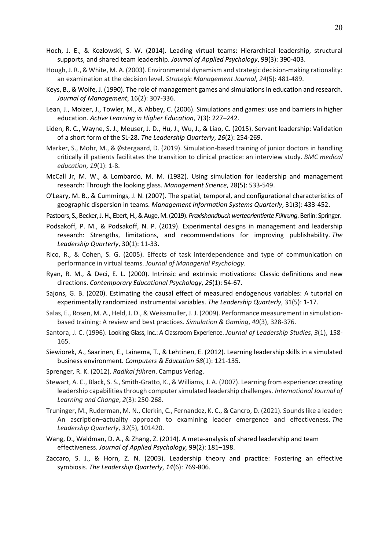- Hoch, J. E., & Kozlowski, S. W. (2014). Leading virtual teams: Hierarchical leadership, structural supports, and shared team leadership. *Journal of Applied Psychology*, 99(3): 390-403.
- Hough, J. R., & White, M. A. (2003). Environmental dynamism and strategic decision-making rationality: an examination at the decision level. *Strategic Management Journal*, *24*(5): 481-489.
- Keys, B., & Wolfe, J. (1990). The role of management games and simulations in education and research. *Journal of Management*, 16(2): 307-336.
- Lean, J., Moizer, J., Towler, M., & Abbey, C. (2006). Simulations and games: use and barriers in higher education. *Active Learning in Higher Education*, 7(3): 227–242.
- Liden, R. C., Wayne, S. J., Meuser, J. D., Hu, J., Wu, J., & Liao, C. (2015). Servant leadership: Validation of a short form of the SL-28. *The Leadership Quarterly*, *26*(2): 254-269.
- Marker, S., Mohr, M., & Østergaard, D. (2019). Simulation-based training of junior doctors in handling critically ill patients facilitates the transition to clinical practice: an interview study. *BMC medical education*, *19*(1): 1-8.
- McCall Jr, M. W., & Lombardo, M. M. (1982). Using simulation for leadership and management research: Through the looking glass. *Management Science*, 28(5): 533-549.
- O'Leary, M. B., & Cummings, J. N. (2007). The spatial, temporal, and configurational characteristics of geographic dispersion in teams. *Management Information Systems Quarterly*, 31(3): 433-452.
- Pastoors, S., Becker, J. H., Ebert, H., & Auge, M. (2019). *Praxishandbuch werteorientierte Führung*. Berlin: Springer.
- Podsakoff, P. M., & Podsakoff, N. P. (2019). Experimental designs in management and leadership research: Strengths, limitations, and recommendations for improving publishability. *The Leadership Quarterly*, 30(1): 11-33.
- Rico, R., & Cohen, S. G. (2005). Effects of task interdependence and type of communication on performance in virtual teams. *Journal of Managerial Psychology*.
- Ryan, R. M., & Deci, E. L. (2000). Intrinsic and extrinsic motivations: Classic definitions and new directions. *Contemporary Educational Psychology*, *25*(1): 54-67.
- Sajons, G. B. (2020). Estimating the causal effect of measured endogenous variables: A tutorial on experimentally randomized instrumental variables. *The Leadership Quarterly*, 31(5): 1-17.
- Salas, E., Rosen, M. A., Held, J. D., & Weissmuller, J. J. (2009). Performance measurement in simulationbased training: A review and best practices. *Simulation & Gaming*, *40*(3), 328-376.
- Santora, J. C. (1996). Looking Glass, Inc.: A Classroom Experience. *Journal of Leadership Studies*, *3*(1), 158- 165.
- Siewiorek, A., Saarinen, E., Lainema, T., & Lehtinen, E. (2012). Learning leadership skills in a simulated business environment. *Computers & Education 58*(1): 121-135.
- Sprenger, R. K. (2012). *Radikal führen*. Campus Verlag.
- Stewart, A. C., Black, S. S., Smith-Gratto, K., & Williams, J. A. (2007). Learning from experience: creating leadership capabilities through computer simulated leadership challenges. *International Journal of Learning and Change*, *2*(3): 250-268.
- Truninger, M., Ruderman, M. N., Clerkin, C., Fernandez, K. C., & Cancro, D. (2021). Sounds like a leader: An ascription–actuality approach to examining leader emergence and effectiveness. *The Leadership Quarterly*, *32*(5), 101420.
- Wang, D., Waldman, D. A., & Zhang, Z. (2014). A meta-analysis of shared leadership and team effectiveness. *Journal of Applied Psychology,* 99(2): 181–198.
- Zaccaro, S. J., & Horn, Z. N. (2003). Leadership theory and practice: Fostering an effective symbiosis. *The Leadership Quarterly*, *14*(6): 769-806.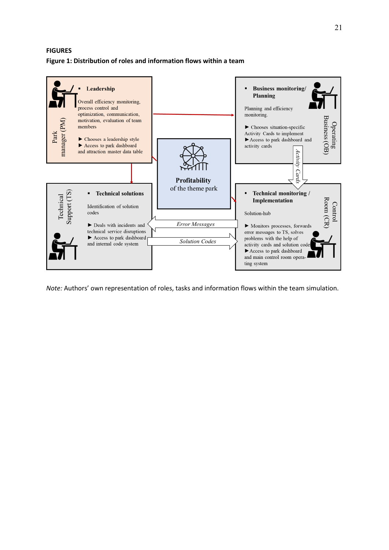## **FIGURES Figure 1: Distribution of roles and information flows within a team**



*Note:* Authors' own representation of roles, tasks and information flows within the team simulation.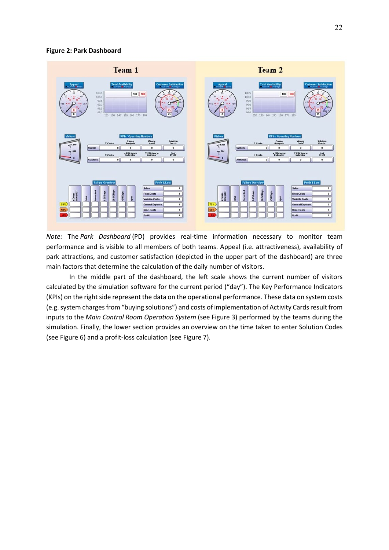### **Figure 2: Park Dashboard**



*Note:* The *Park Dashboard* (PD) provides real-time information necessary to monitor team performance and is visible to all members of both teams. Appeal (i.e. attractiveness), availability of park attractions, and customer satisfaction (depicted in the upper part of the dashboard) are three main factors that determine the calculation of the daily number of visitors.

In the middle part of the dashboard, the left scale shows the current number of visitors calculated by the simulation software for the current period ("day"). The Key Performance Indicators (KPIs) on the right side represent the data on the operational performance. These data on system costs (e.g. system charges from "buying solutions") and costs of implementation of Activity Cards result from inputs to the *Main Control Room Operation System* (see Figure 3) performed by the teams during the simulation. Finally, the lower section provides an overview on the time taken to enter Solution Codes (see Figure 6) and a profit-loss calculation (see Figure 7).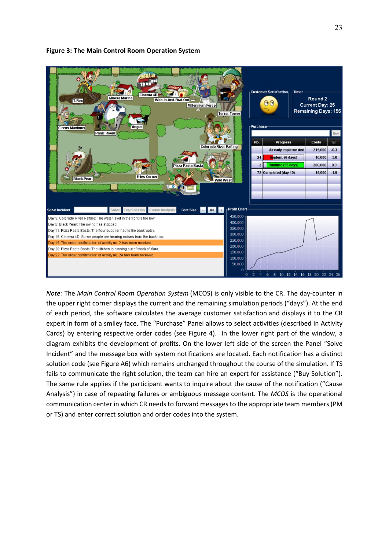

### **Figure 3: The Main Control Room Operation System**

*Note:* The *Main Control Room Operation System* (MCOS) is only visible to the CR. The day-counter in the upper right corner displays the current and the remaining simulation periods ("days"). At the end of each period, the software calculates the average customer satisfaction and displays it to the CR expert in form of a smiley face. The "Purchase" Panel allows to select activities (described in Activity Cards) by entering respective order codes (see Figure 4). In the lower right part of the window, a diagram exhibits the development of profits. On the lower left side of the screen the Panel "Solve Incident" and the message box with system notifications are located. Each notification has a distinct solution code (see Figure A6) which remains unchanged throughout the course of the simulation. If TS fails to communicate the right solution, the team can hire an expert for assistance ("Buy Solution"). The same rule applies if the participant wants to inquire about the cause of the notification ("Cause Analysis") in case of repeating failures or ambiguous message content. The *MCOS* is the operational communication center in which CR needs to forward messages to the appropriate team members (PM or TS) and enter correct solution and order codes into the system.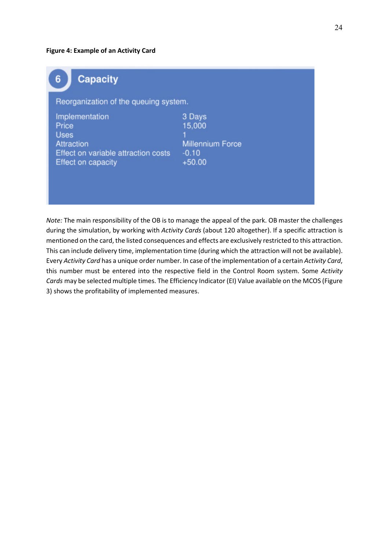### **Figure 4: Example of an Activity Card**

| <b>Capacity</b><br>6                                                                                              |                                                                    |  |  |  |
|-------------------------------------------------------------------------------------------------------------------|--------------------------------------------------------------------|--|--|--|
| Reorganization of the queuing system.                                                                             |                                                                    |  |  |  |
| Implementation<br>Price<br><b>Uses</b><br>Attraction<br>Effect on variable attraction costs<br>Effect on capacity | 3 Days<br>15.000<br><b>Millennium Force</b><br>$-0.10$<br>$+50.00$ |  |  |  |

*Note:* The main responsibility of the OB is to manage the appeal of the park. OB master the challenges during the simulation, by working with *Activity Cards* (about 120 altogether). If a specific attraction is mentioned on the card, the listed consequences and effects are exclusively restricted to this attraction. This can include delivery time, implementation time (during which the attraction will not be available). Every *Activity Card* has a unique order number. In case of the implementation of a certain *Activity Card*, this number must be entered into the respective field in the Control Room system. Some *Activity Cards* may be selected multiple times. The Efficiency Indicator (EI) Value available on the MCOS (Figure 3) shows the profitability of implemented measures.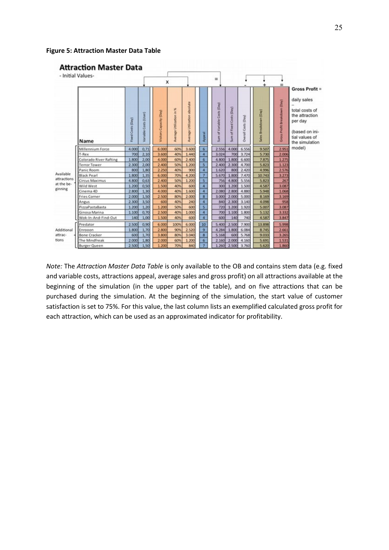**Figure 5: Attraction Master Data Table** 



*Note:* The *Attraction Master Data Table* is only available to the OB and contains stem data (e.g. fixed and variable costs, attractions appeal, average sales and gross profit) on all attractions available at the beginning of the simulation (in the upper part of the table), and on five attractions that can be purchased during the simulation. At the beginning of the simulation, the start value of customer satisfaction is set to 75%. For this value, the last column lists an exemplified calculated gross profit for each attraction, which can be used as an approximated indicator for profitability.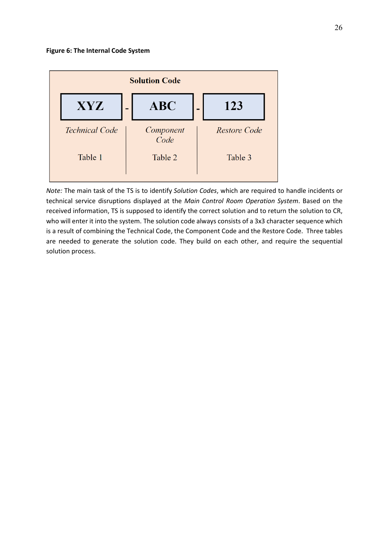

*Note:* The main task of the TS is to identify *Solution Codes*, which are required to handle incidents or technical service disruptions displayed at the *Main Control Room Operation System*. Based on the received information, TS is supposed to identify the correct solution and to return the solution to CR, who will enter it into the system. The solution code always consists of a 3x3 character sequence which is a result of combining the Technical Code, the Component Code and the Restore Code. Three tables are needed to generate the solution code. They build on each other, and require the sequential solution process.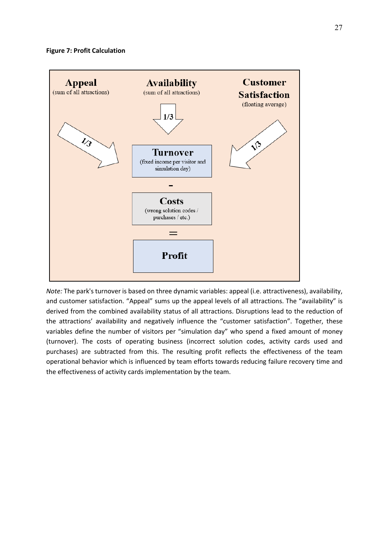

*Note:* The park's turnover is based on three dynamic variables: appeal (i.e. attractiveness), availability, and customer satisfaction. "Appeal" sums up the appeal levels of all attractions. The "availability" is derived from the combined availability status of all attractions. Disruptions lead to the reduction of the attractions' availability and negatively influence the "customer satisfaction". Together, these variables define the number of visitors per "simulation day" who spend a fixed amount of money (turnover). The costs of operating business (incorrect solution codes, activity cards used and purchases) are subtracted from this. The resulting profit reflects the effectiveness of the team operational behavior which is influenced by team efforts towards reducing failure recovery time and the effectiveness of activity cards implementation by the team.